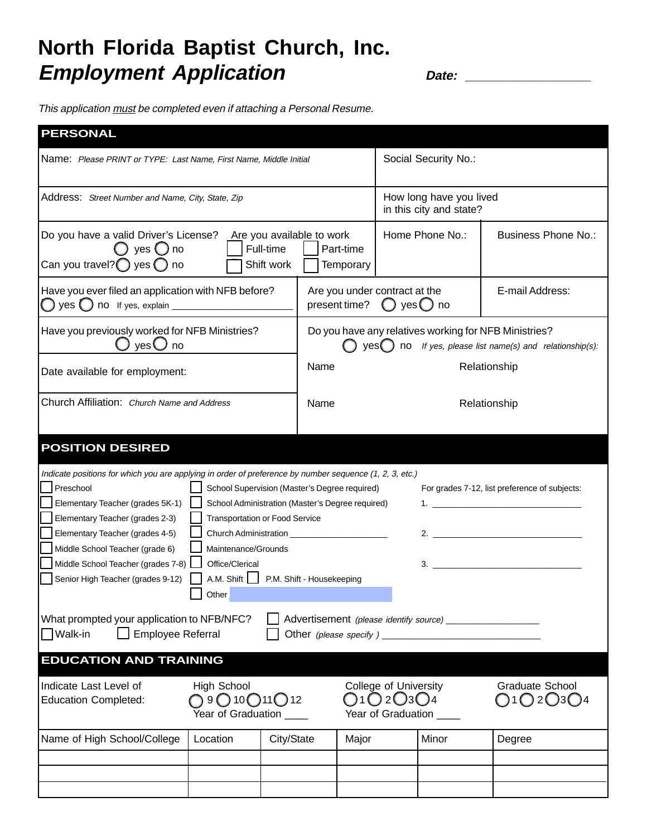## **North Florida Baptist Church, Inc. Employment Application** *Date:* 2014

This application must be completed even if attaching a Personal Resume.

| <b>PERSONAL</b>                                                                                                                                                                                                                                                                                                                                                                                                                                                                                                                                                                                                                                                                                                                                                           |                                                |                                                                                                                    |                            |  |
|---------------------------------------------------------------------------------------------------------------------------------------------------------------------------------------------------------------------------------------------------------------------------------------------------------------------------------------------------------------------------------------------------------------------------------------------------------------------------------------------------------------------------------------------------------------------------------------------------------------------------------------------------------------------------------------------------------------------------------------------------------------------------|------------------------------------------------|--------------------------------------------------------------------------------------------------------------------|----------------------------|--|
| Name: Please PRINT or TYPE: Last Name, First Name, Middle Initial                                                                                                                                                                                                                                                                                                                                                                                                                                                                                                                                                                                                                                                                                                         |                                                | Social Security No.:                                                                                               |                            |  |
| Address: Street Number and Name, City, State, Zip                                                                                                                                                                                                                                                                                                                                                                                                                                                                                                                                                                                                                                                                                                                         |                                                | How long have you lived<br>in this city and state?                                                                 |                            |  |
| Do you have a valid Driver's License?<br>Are you available to work<br>Full-time<br>yes $\bigcirc$ no<br>Can you travel? $\bigcirc$ yes $\bigcirc$ no<br>Shift work                                                                                                                                                                                                                                                                                                                                                                                                                                                                                                                                                                                                        | Part-time<br>Temporary                         | Home Phone No.:                                                                                                    | <b>Business Phone No.:</b> |  |
| Have you ever filed an application with NFB before?                                                                                                                                                                                                                                                                                                                                                                                                                                                                                                                                                                                                                                                                                                                       | Are you under contract at the<br>present time? | $\bigcirc$ yes $\bigcirc$ no                                                                                       | E-mail Address:            |  |
| Have you previously worked for NFB Ministries?<br>$\mathsf{yes} \bigcup \mathsf{no}$                                                                                                                                                                                                                                                                                                                                                                                                                                                                                                                                                                                                                                                                                      |                                                | Do you have any relatives working for NFB Ministries?<br>$yes$ no If yes, please list name(s) and relationship(s): |                            |  |
| Date available for employment:                                                                                                                                                                                                                                                                                                                                                                                                                                                                                                                                                                                                                                                                                                                                            | Name                                           |                                                                                                                    | Relationship               |  |
| Church Affiliation: Church Name and Address                                                                                                                                                                                                                                                                                                                                                                                                                                                                                                                                                                                                                                                                                                                               | Name                                           | Relationship                                                                                                       |                            |  |
| <b>POSITION DESIRED</b>                                                                                                                                                                                                                                                                                                                                                                                                                                                                                                                                                                                                                                                                                                                                                   |                                                |                                                                                                                    |                            |  |
| Indicate positions for which you are applying in order of preference by number sequence (1, 2, 3, etc.)<br>Preschool<br>School Supervision (Master's Degree required)<br>For grades 7-12, list preference of subjects:<br>Elementary Teacher (grades 5K-1)<br>School Administration (Master's Degree required)<br><b>Transportation or Food Service</b><br>Elementary Teacher (grades 2-3)<br>2. $\qquad \qquad$<br>Elementary Teacher (grades 4-5)<br>Middle School Teacher (grade 6)<br>Maintenance/Grounds<br>Middle School Teacher (grades 7-8)<br>Office/Clerical<br>A.M. Shift   P.M. Shift - Housekeeping<br>Senior High Teacher (grades 9-12)<br>Other<br>What prompted your application to NFB/NFC?<br>Advertisement (please identify source) __________________ |                                                |                                                                                                                    |                            |  |
| <b>Employee Referral</b><br>Walk-in                                                                                                                                                                                                                                                                                                                                                                                                                                                                                                                                                                                                                                                                                                                                       |                                                |                                                                                                                    |                            |  |
| <b>EDUCATION AND TRAINING</b>                                                                                                                                                                                                                                                                                                                                                                                                                                                                                                                                                                                                                                                                                                                                             |                                                |                                                                                                                    |                            |  |
| College of University<br>Indicate Last Level of<br><b>High School</b><br><b>Graduate School</b><br>$2O_3O_4$<br>$9$ ( $10$ ( $11$ ( $12$<br><b>Education Completed:</b><br>20<br>Year of Graduation ____<br>Year of Graduation                                                                                                                                                                                                                                                                                                                                                                                                                                                                                                                                            |                                                |                                                                                                                    |                            |  |
| Name of High School/College<br>Location<br>City/State                                                                                                                                                                                                                                                                                                                                                                                                                                                                                                                                                                                                                                                                                                                     | Major                                          | Minor                                                                                                              | Degree                     |  |
|                                                                                                                                                                                                                                                                                                                                                                                                                                                                                                                                                                                                                                                                                                                                                                           |                                                |                                                                                                                    |                            |  |
|                                                                                                                                                                                                                                                                                                                                                                                                                                                                                                                                                                                                                                                                                                                                                                           |                                                |                                                                                                                    |                            |  |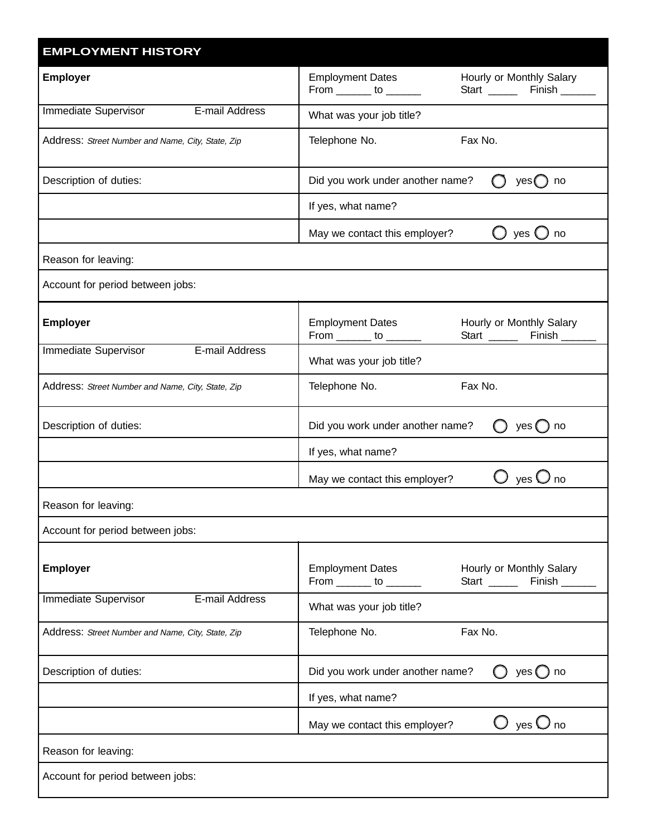| <b>EMPLOYMENT HISTORY</b>                         |                                                               |                                                            |
|---------------------------------------------------|---------------------------------------------------------------|------------------------------------------------------------|
| <b>Employer</b>                                   | <b>Employment Dates</b><br>From $\_\_\_\_$ to $\_\_\_\_\_\_\$ | Hourly or Monthly Salary<br>Start _________ Finish _______ |
| E-mail Address<br>Immediate Supervisor            | What was your job title?                                      |                                                            |
| Address: Street Number and Name, City, State, Zip | Telephone No.<br>Fax No.                                      |                                                            |
| Description of duties:                            | Did you work under another name?<br>yes(<br>no                |                                                            |
|                                                   | If yes, what name?                                            |                                                            |
|                                                   | May we contact this employer?                                 | yes (<br>no                                                |
| Reason for leaving:                               |                                                               |                                                            |
| Account for period between jobs:                  |                                                               |                                                            |
| <b>Employer</b>                                   | <b>Employment Dates</b><br>From $\_\_\_\_$ to $\_\_\_\_\_\$   | Hourly or Monthly Salary<br>Start ________ Finish _______  |
| <b>Immediate Supervisor</b><br>E-mail Address     | What was your job title?                                      |                                                            |
| Address: Street Number and Name, City, State, Zip | Telephone No.                                                 | Fax No.                                                    |
| Description of duties:                            | Did you work under another name?                              | yes $()$ no                                                |
|                                                   | If yes, what name?                                            |                                                            |
|                                                   | May we contact this employer?                                 | ves '<br>no                                                |
| Reason for leaving:                               |                                                               |                                                            |
| Account for period between jobs:                  |                                                               |                                                            |
| <b>Employer</b>                                   | <b>Employment Dates</b><br>From $\_\_\_\_$ to $\_\_\_\_\_\$   | Hourly or Monthly Salary<br>Start ________ Finish _____    |
| Immediate Supervisor<br>E-mail Address            | What was your job title?                                      |                                                            |
| Address: Street Number and Name, City, State, Zip | Telephone No.                                                 | Fax No.                                                    |
| Description of duties:                            | Did you work under another name?                              | yes() no                                                   |
|                                                   | If yes, what name?                                            |                                                            |
|                                                   | May we contact this employer?                                 | yes $\bigcup$ no                                           |
| Reason for leaving:                               |                                                               |                                                            |
| Account for period between jobs:                  |                                                               |                                                            |
|                                                   |                                                               |                                                            |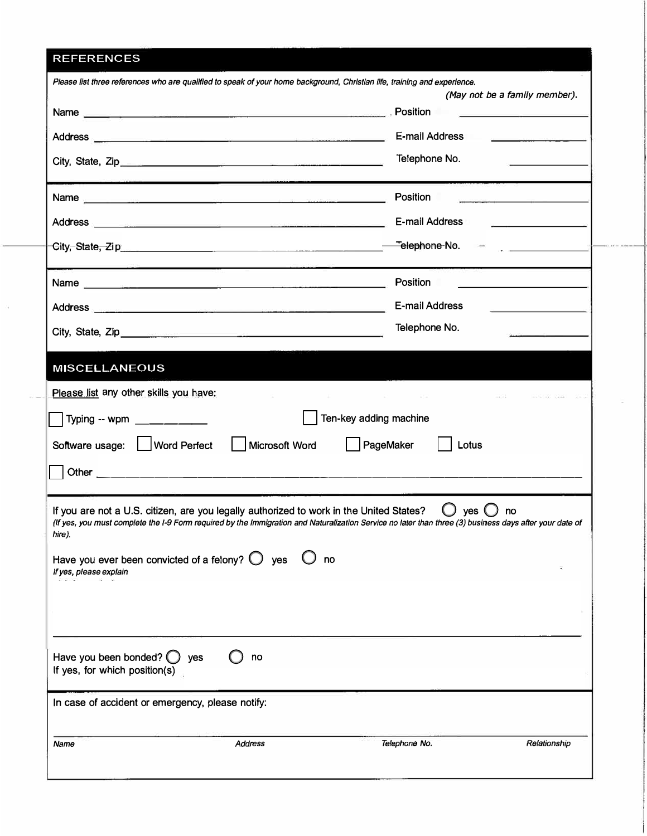## REFERENCES

| Please list three references who are qualified to speak of your home background, Christian life, training and experience.                                                                                                                                                                                                                                                                                                                   | (May not be a family member).                                                                                                                                                                                                                                                                                                                                                                                                                                                                                 |
|---------------------------------------------------------------------------------------------------------------------------------------------------------------------------------------------------------------------------------------------------------------------------------------------------------------------------------------------------------------------------------------------------------------------------------------------|---------------------------------------------------------------------------------------------------------------------------------------------------------------------------------------------------------------------------------------------------------------------------------------------------------------------------------------------------------------------------------------------------------------------------------------------------------------------------------------------------------------|
| Name Position                                                                                                                                                                                                                                                                                                                                                                                                                               | the control of the control of the control of the control of the                                                                                                                                                                                                                                                                                                                                                                                                                                               |
| Address                                                                                                                                                                                                                                                                                                                                                                                                                                     | <b>E-mail Address</b><br>$\label{eq:2} \begin{split} \mathcal{L}(\mathcal{L}_{\text{max}}) = \mathcal{L}(\mathcal{L}_{\text{max}}) = \mathcal{L}(\mathcal{L}_{\text{max}}) \mathcal{L}(\mathcal{L}_{\text{max}}) \mathcal{L}(\mathcal{L}_{\text{max}}) \mathcal{L}(\mathcal{L}_{\text{max}}) \mathcal{L}(\mathcal{L}_{\text{max}}) \mathcal{L}(\mathcal{L}_{\text{max}}) \mathcal{L}(\mathcal{L}_{\text{max}}) \mathcal{L}(\mathcal{L}_{\text{max}}) \mathcal{L}(\mathcal{L}_{\text{max}}) \mathcal{L}(\math$ |
|                                                                                                                                                                                                                                                                                                                                                                                                                                             | Telephone No.                                                                                                                                                                                                                                                                                                                                                                                                                                                                                                 |
|                                                                                                                                                                                                                                                                                                                                                                                                                                             | Position                                                                                                                                                                                                                                                                                                                                                                                                                                                                                                      |
| Address <b>E-mail Address</b>                                                                                                                                                                                                                                                                                                                                                                                                               |                                                                                                                                                                                                                                                                                                                                                                                                                                                                                                               |
|                                                                                                                                                                                                                                                                                                                                                                                                                                             |                                                                                                                                                                                                                                                                                                                                                                                                                                                                                                               |
| <b>Name</b> <u>design and the contract of the contract of the contract of the contract of the contract of the contract of the contract of the contract of the contract of the contract of the contract of the contract of the contrac</u>                                                                                                                                                                                                   | Position                                                                                                                                                                                                                                                                                                                                                                                                                                                                                                      |
|                                                                                                                                                                                                                                                                                                                                                                                                                                             | <b>E-mail Address</b>                                                                                                                                                                                                                                                                                                                                                                                                                                                                                         |
| City, State, Zip. 2008. 2009. 2010. 2010. 2010. 2010. 2010. 2010. 2010. 2010. 2010. 2010. 2010. 2010. 2010. 20                                                                                                                                                                                                                                                                                                                              | Telephone No.                                                                                                                                                                                                                                                                                                                                                                                                                                                                                                 |
| Typing -- wpm _________<br>Software usage: U Word Perfect<br>    Microsoft Word<br>If you are not a U.S. citizen, are you legally authorized to work in the United States?<br>(If yes, you must complete the I-9 Form required by the Immigration and Naturalization Service no later than three (3) business days after your date of<br>hire).<br>Have you ever been convicted of a felony? $\bigcirc$ yes<br>no<br>If yes, please explain | Ten-key adding machine<br>PageMaker<br>Lotus<br>ves (<br>no                                                                                                                                                                                                                                                                                                                                                                                                                                                   |
| Have you been bonded? $\bigcirc$ yes<br>no<br>If yes, for which position(s)<br>In case of accident or emergency, please notify:                                                                                                                                                                                                                                                                                                             |                                                                                                                                                                                                                                                                                                                                                                                                                                                                                                               |
| Name<br>Address                                                                                                                                                                                                                                                                                                                                                                                                                             | Relationship<br>Telephone No.                                                                                                                                                                                                                                                                                                                                                                                                                                                                                 |